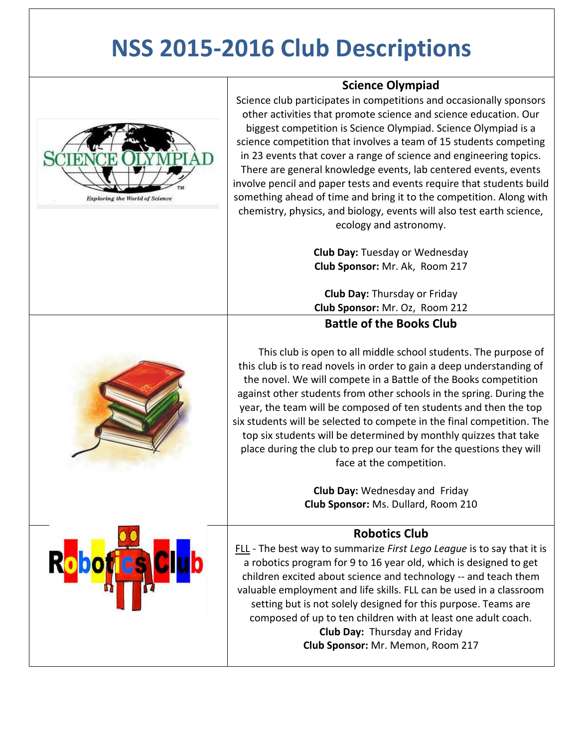## **NSS 2015-2016 Club Descriptions**



**Science Olympiad**

Science club participates in competitions and occasionally sponsors other activities that promote science and science education. Our biggest competition is Science Olympiad. Science Olympiad is a science competition that involves a team of 15 students competing in 23 events that cover a range of science and engineering topics. There are general knowledge events, lab centered events, events involve pencil and paper tests and events require that students build something ahead of time and bring it to the competition. Along with chemistry, physics, and biology, events will also test earth science, ecology and astronomy.

> **Club Day:** Tuesday or Wednesday **Club Sponsor:** Mr. Ak, Room 217

**Club Day:** Thursday or Friday **Club Sponsor:** Mr. Oz, Room 212

## **Battle of the Books Club**

 This club is open to all middle school students. The purpose of this club is to read novels in order to gain a deep understanding of the novel. We will compete in a Battle of the Books competition against other students from other schools in the spring. During the year, the team will be composed of ten students and then the top six students will be selected to compete in the final competition. The top six students will be determined by monthly quizzes that take place during the club to prep our team for the questions they will face at the competition.

> **Club Day:** Wednesday and Friday **Club Sponsor:** Ms. Dullard, Room 210

## **Robotics Club**

FLL - The best way to summarize *First Lego League* is to say that it is a robotics program for 9 to 16 year old, which is designed to get children excited about science and technology -- and teach them valuable employment and life skills. FLL can be used in a classroom setting but is not solely designed for this purpose. Teams are composed of up to ten children with at least one adult coach. **Club Day:** Thursday and Friday **Club Sponsor:** Mr. Memon, Room 217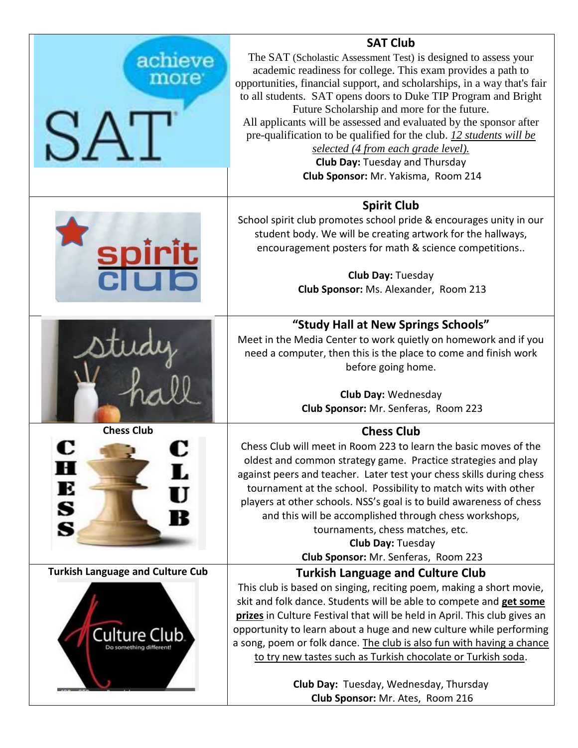|                                         | <b>SAT Club</b>                                                                                                                                 |  |  |  |
|-----------------------------------------|-------------------------------------------------------------------------------------------------------------------------------------------------|--|--|--|
| achieve                                 | The SAT (Scholastic Assessment Test) is designed to assess your                                                                                 |  |  |  |
| more <sup>®</sup>                       | academic readiness for college. This exam provides a path to                                                                                    |  |  |  |
|                                         | opportunities, financial support, and scholarships, in a way that's fair                                                                        |  |  |  |
|                                         | to all students. SAT opens doors to Duke TIP Program and Bright<br>Future Scholarship and more for the future.                                  |  |  |  |
|                                         | All applicants will be assessed and evaluated by the sponsor after                                                                              |  |  |  |
|                                         | pre-qualification to be qualified for the club. 12 students will be                                                                             |  |  |  |
|                                         | selected (4 from each grade level).                                                                                                             |  |  |  |
|                                         | <b>Club Day: Tuesday and Thursday</b>                                                                                                           |  |  |  |
|                                         | Club Sponsor: Mr. Yakisma, Room 214                                                                                                             |  |  |  |
|                                         | <b>Spirit Club</b>                                                                                                                              |  |  |  |
|                                         | School spirit club promotes school pride & encourages unity in our                                                                              |  |  |  |
|                                         | student body. We will be creating artwork for the hallways,                                                                                     |  |  |  |
| spirit<br>Clula                         | encouragement posters for math & science competitions                                                                                           |  |  |  |
|                                         | Club Day: Tuesday                                                                                                                               |  |  |  |
|                                         | Club Sponsor: Ms. Alexander, Room 213                                                                                                           |  |  |  |
|                                         |                                                                                                                                                 |  |  |  |
|                                         | "Study Hall at New Springs Schools"                                                                                                             |  |  |  |
|                                         | Meet in the Media Center to work quietly on homework and if you                                                                                 |  |  |  |
|                                         | need a computer, then this is the place to come and finish work                                                                                 |  |  |  |
|                                         | before going home.                                                                                                                              |  |  |  |
|                                         | <b>Club Day: Wednesday</b>                                                                                                                      |  |  |  |
|                                         | Club Sponsor: Mr. Senferas, Room 223                                                                                                            |  |  |  |
| <b>Chess Club</b>                       | <b>Chess Club</b>                                                                                                                               |  |  |  |
|                                         | Chess Club will meet in Room 223 to learn the basic moves of the                                                                                |  |  |  |
|                                         | oldest and common strategy game. Practice strategies and play                                                                                   |  |  |  |
| н                                       | against peers and teacher. Later test your chess skills during chess                                                                            |  |  |  |
| E                                       | tournament at the school. Possibility to match wits with other                                                                                  |  |  |  |
|                                         | players at other schools. NSS's goal is to build awareness of chess                                                                             |  |  |  |
| S<br>S                                  | and this will be accomplished through chess workshops,                                                                                          |  |  |  |
|                                         | tournaments, chess matches, etc.                                                                                                                |  |  |  |
|                                         | Club Day: Tuesday                                                                                                                               |  |  |  |
|                                         | Club Sponsor: Mr. Senferas, Room 223                                                                                                            |  |  |  |
| <b>Turkish Language and Culture Cub</b> | <b>Turkish Language and Culture Club</b>                                                                                                        |  |  |  |
| Culture Club                            | This club is based on singing, reciting poem, making a short movie,                                                                             |  |  |  |
|                                         | skit and folk dance. Students will be able to compete and get some<br>prizes in Culture Festival that will be held in April. This club gives an |  |  |  |
|                                         | opportunity to learn about a huge and new culture while performing                                                                              |  |  |  |
|                                         | a song, poem or folk dance. The club is also fun with having a chance                                                                           |  |  |  |
|                                         | to try new tastes such as Turkish chocolate or Turkish soda.                                                                                    |  |  |  |
|                                         |                                                                                                                                                 |  |  |  |
|                                         | Club Day: Tuesday, Wednesday, Thursday                                                                                                          |  |  |  |
|                                         | Club Sponsor: Mr. Ates, Room 216                                                                                                                |  |  |  |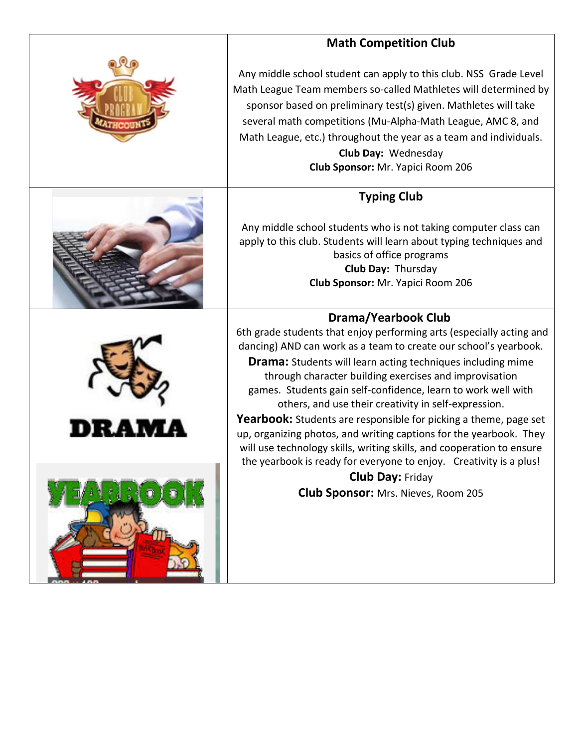| <b>Math Competition Club</b>                                                                                                                                                                                                                                                                                                                                                                                                                                                 |  |  |
|------------------------------------------------------------------------------------------------------------------------------------------------------------------------------------------------------------------------------------------------------------------------------------------------------------------------------------------------------------------------------------------------------------------------------------------------------------------------------|--|--|
| Any middle school student can apply to this club. NSS Grade Level<br>Math League Team members so-called Mathletes will determined by<br>sponsor based on preliminary test(s) given. Mathletes will take<br>several math competitions (Mu-Alpha-Math League, AMC 8, and<br>Math League, etc.) throughout the year as a team and individuals.<br>Club Day: Wednesday<br>Club Sponsor: Mr. Yapici Room 206                                                                      |  |  |
| <b>Typing Club</b>                                                                                                                                                                                                                                                                                                                                                                                                                                                           |  |  |
| Any middle school students who is not taking computer class can<br>apply to this club. Students will learn about typing techniques and<br>basics of office programs<br>Club Day: Thursday<br>Club Sponsor: Mr. Yapici Room 206                                                                                                                                                                                                                                               |  |  |
| <b>Drama/Yearbook Club</b>                                                                                                                                                                                                                                                                                                                                                                                                                                                   |  |  |
| 6th grade students that enjoy performing arts (especially acting and<br>dancing) AND can work as a team to create our school's yearbook.<br><b>Drama:</b> Students will learn acting techniques including mime<br>through character building exercises and improvisation<br>games. Students gain self-confidence, learn to work well with<br>others, and use their creativity in self-expression.<br><b>Yearbook:</b> Students are responsible for picking a theme, page set |  |  |
| up, organizing photos, and writing captions for the yearbook. They                                                                                                                                                                                                                                                                                                                                                                                                           |  |  |
| will use technology skills, writing skills, and cooperation to ensure<br>the yearbook is ready for everyone to enjoy. Creativity is a plus!                                                                                                                                                                                                                                                                                                                                  |  |  |
| <b>Club Day: Friday</b>                                                                                                                                                                                                                                                                                                                                                                                                                                                      |  |  |
| <b>Club Sponsor:</b> Mrs. Nieves, Room 205                                                                                                                                                                                                                                                                                                                                                                                                                                   |  |  |
|                                                                                                                                                                                                                                                                                                                                                                                                                                                                              |  |  |